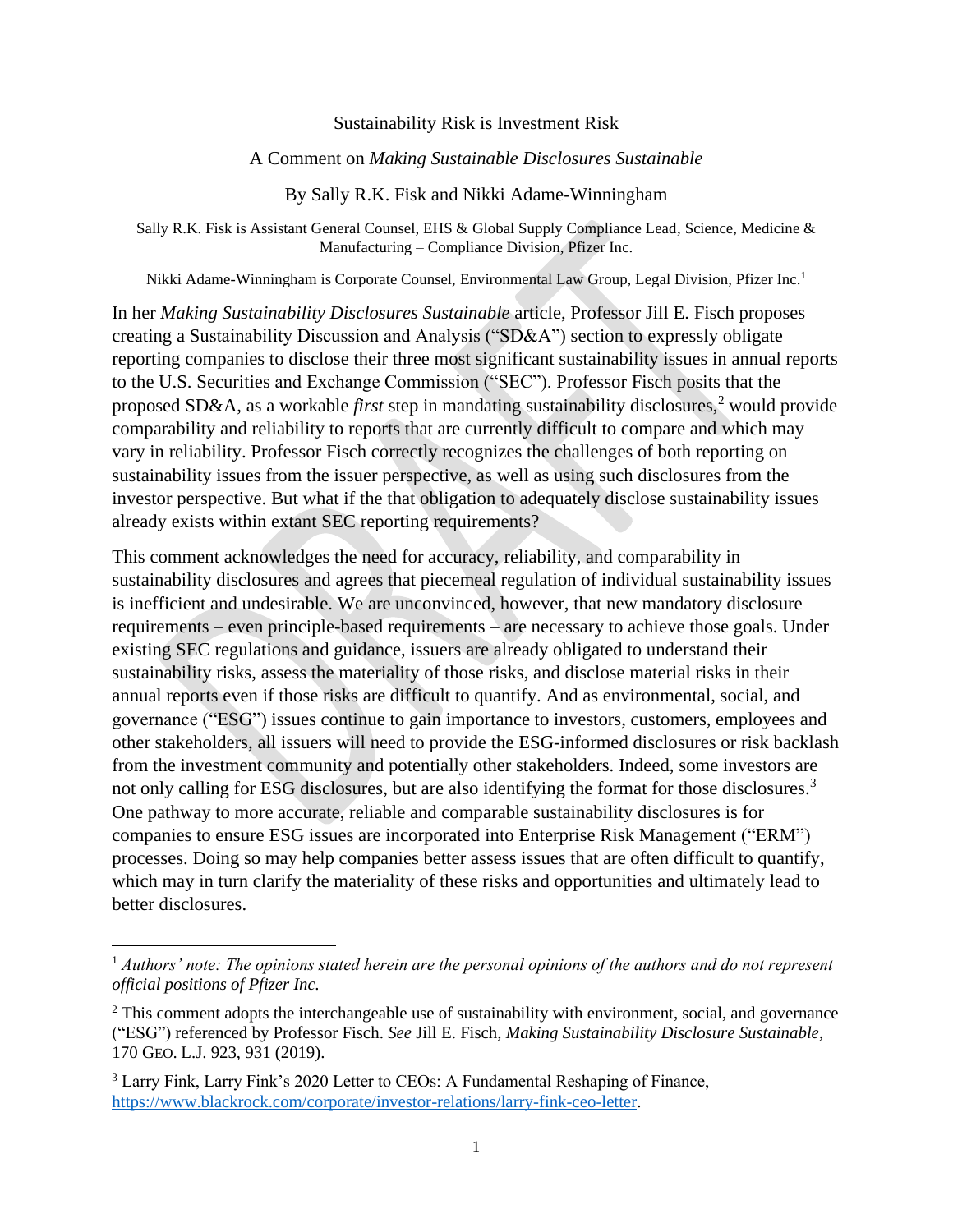### Sustainability Risk is Investment Risk

### A Comment on *Making Sustainable Disclosures Sustainable*

By Sally R.K. Fisk and Nikki Adame-Winningham

Sally R.K. Fisk is Assistant General Counsel, EHS & Global Supply Compliance Lead, Science, Medicine & Manufacturing – Compliance Division, Pfizer Inc.

Nikki Adame-Winningham is Corporate Counsel, Environmental Law Group, Legal Division, Pfizer Inc.<sup>1</sup>

In her *Making Sustainability Disclosures Sustainable* article, Professor Jill E. Fisch proposes creating a Sustainability Discussion and Analysis ("SD&A") section to expressly obligate reporting companies to disclose their three most significant sustainability issues in annual reports to the U.S. Securities and Exchange Commission ("SEC"). Professor Fisch posits that the proposed SD&A, as a workable *first* step in mandating sustainability disclosures,<sup>2</sup> would provide comparability and reliability to reports that are currently difficult to compare and which may vary in reliability. Professor Fisch correctly recognizes the challenges of both reporting on sustainability issues from the issuer perspective, as well as using such disclosures from the investor perspective. But what if the that obligation to adequately disclose sustainability issues already exists within extant SEC reporting requirements?

This comment acknowledges the need for accuracy, reliability, and comparability in sustainability disclosures and agrees that piecemeal regulation of individual sustainability issues is inefficient and undesirable. We are unconvinced, however, that new mandatory disclosure requirements – even principle-based requirements – are necessary to achieve those goals. Under existing SEC regulations and guidance, issuers are already obligated to understand their sustainability risks, assess the materiality of those risks, and disclose material risks in their annual reports even if those risks are difficult to quantify. And as environmental, social, and governance ("ESG") issues continue to gain importance to investors, customers, employees and other stakeholders, all issuers will need to provide the ESG-informed disclosures or risk backlash from the investment community and potentially other stakeholders. Indeed, some investors are not only calling for ESG disclosures, but are also identifying the format for those disclosures.<sup>3</sup> One pathway to more accurate, reliable and comparable sustainability disclosures is for companies to ensure ESG issues are incorporated into Enterprise Risk Management ("ERM") processes. Doing so may help companies better assess issues that are often difficult to quantify, which may in turn clarify the materiality of these risks and opportunities and ultimately lead to better disclosures.

<sup>1</sup> *Authors' note: The opinions stated herein are the personal opinions of the authors and do not represent official positions of Pfizer Inc.* 

<sup>&</sup>lt;sup>2</sup> This comment adopts the interchangeable use of sustainability with environment, social, and governance ("ESG") referenced by Professor Fisch. *See* Jill E. Fisch, *Making Sustainability Disclosure Sustainable*, 170 GEO. L.J. 923, 931 (2019).

<sup>3</sup> Larry Fink, Larry Fink's 2020 Letter to CEOs: A Fundamental Reshaping of Finance, [https://www.blackrock.com/corporate/investor-relations/larry-fink-ceo-letter.](https://www.blackrock.com/corporate/investor-relations/larry-fink-ceo-letter)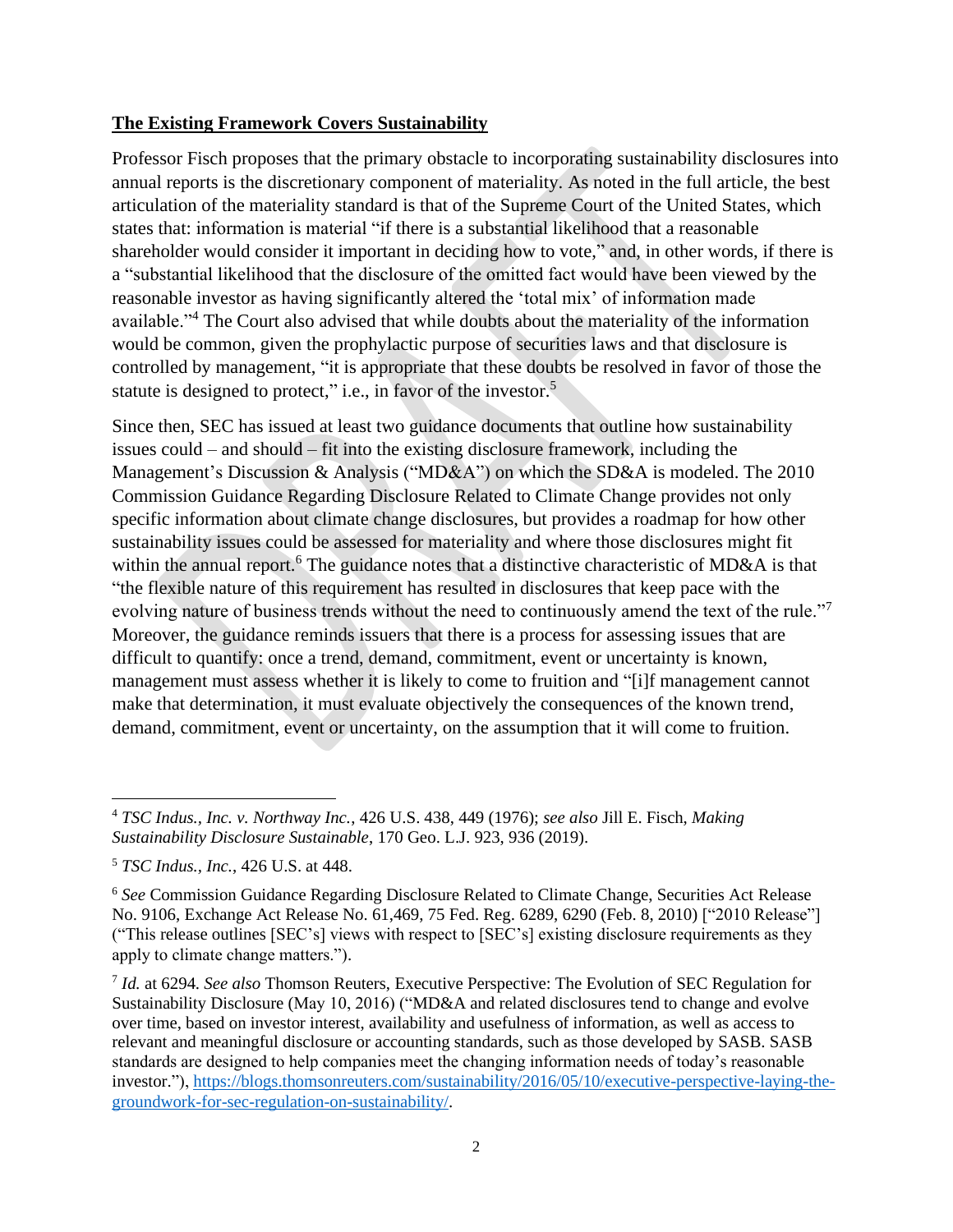### **The Existing Framework Covers Sustainability**

Professor Fisch proposes that the primary obstacle to incorporating sustainability disclosures into annual reports is the discretionary component of materiality. As noted in the full article, the best articulation of the materiality standard is that of the Supreme Court of the United States, which states that: information is material "if there is a substantial likelihood that a reasonable shareholder would consider it important in deciding how to vote," and, in other words, if there is a "substantial likelihood that the disclosure of the omitted fact would have been viewed by the reasonable investor as having significantly altered the 'total mix' of information made available."<sup>4</sup> The Court also advised that while doubts about the materiality of the information would be common, given the prophylactic purpose of securities laws and that disclosure is controlled by management, "it is appropriate that these doubts be resolved in favor of those the statute is designed to protect," i.e., in favor of the investor.<sup>5</sup>

Since then, SEC has issued at least two guidance documents that outline how sustainability issues could – and should – fit into the existing disclosure framework, including the Management's Discussion & Analysis ("MD&A") on which the SD&A is modeled. The 2010 Commission Guidance Regarding Disclosure Related to Climate Change provides not only specific information about climate change disclosures, but provides a roadmap for how other sustainability issues could be assessed for materiality and where those disclosures might fit within the annual report.<sup>6</sup> The guidance notes that a distinctive characteristic of MD&A is that "the flexible nature of this requirement has resulted in disclosures that keep pace with the evolving nature of business trends without the need to continuously amend the text of the rule."<sup>7</sup> Moreover, the guidance reminds issuers that there is a process for assessing issues that are difficult to quantify: once a trend, demand, commitment, event or uncertainty is known, management must assess whether it is likely to come to fruition and "[i]f management cannot make that determination, it must evaluate objectively the consequences of the known trend, demand, commitment, event or uncertainty, on the assumption that it will come to fruition.

<sup>4</sup> *TSC Indus., Inc. v. Northway Inc.*, 426 U.S. 438, 449 (1976); *see also* Jill E. Fisch, *Making Sustainability Disclosure Sustainable*, 170 Geo. L.J. 923, 936 (2019).

<sup>5</sup> *TSC Indus., Inc.*, 426 U.S. at 448.

<sup>6</sup> *See* Commission Guidance Regarding Disclosure Related to Climate Change, Securities Act Release No. 9106, Exchange Act Release No. 61,469, 75 Fed. Reg. 6289, 6290 (Feb. 8, 2010) ["2010 Release"] ("This release outlines [SEC's] views with respect to [SEC's] existing disclosure requirements as they apply to climate change matters.").

<sup>7</sup> *Id.* at 6294. *See also* Thomson Reuters, Executive Perspective: The Evolution of SEC Regulation for Sustainability Disclosure (May 10, 2016) ("MD&A and related disclosures tend to change and evolve over time, based on investor interest, availability and usefulness of information, as well as access to relevant and meaningful disclosure or accounting standards, such as those developed by SASB. SASB standards are designed to help companies meet the changing information needs of today's reasonable investor."), [https://blogs.thomsonreuters.com/sustainability/2016/05/10/executive-perspective-laying-the](https://blogs.thomsonreuters.com/sustainability/2016/05/10/executive-perspective-laying-the-groundwork-for-sec-regulation-on-sustainability/)[groundwork-for-sec-regulation-on-sustainability/.](https://blogs.thomsonreuters.com/sustainability/2016/05/10/executive-perspective-laying-the-groundwork-for-sec-regulation-on-sustainability/)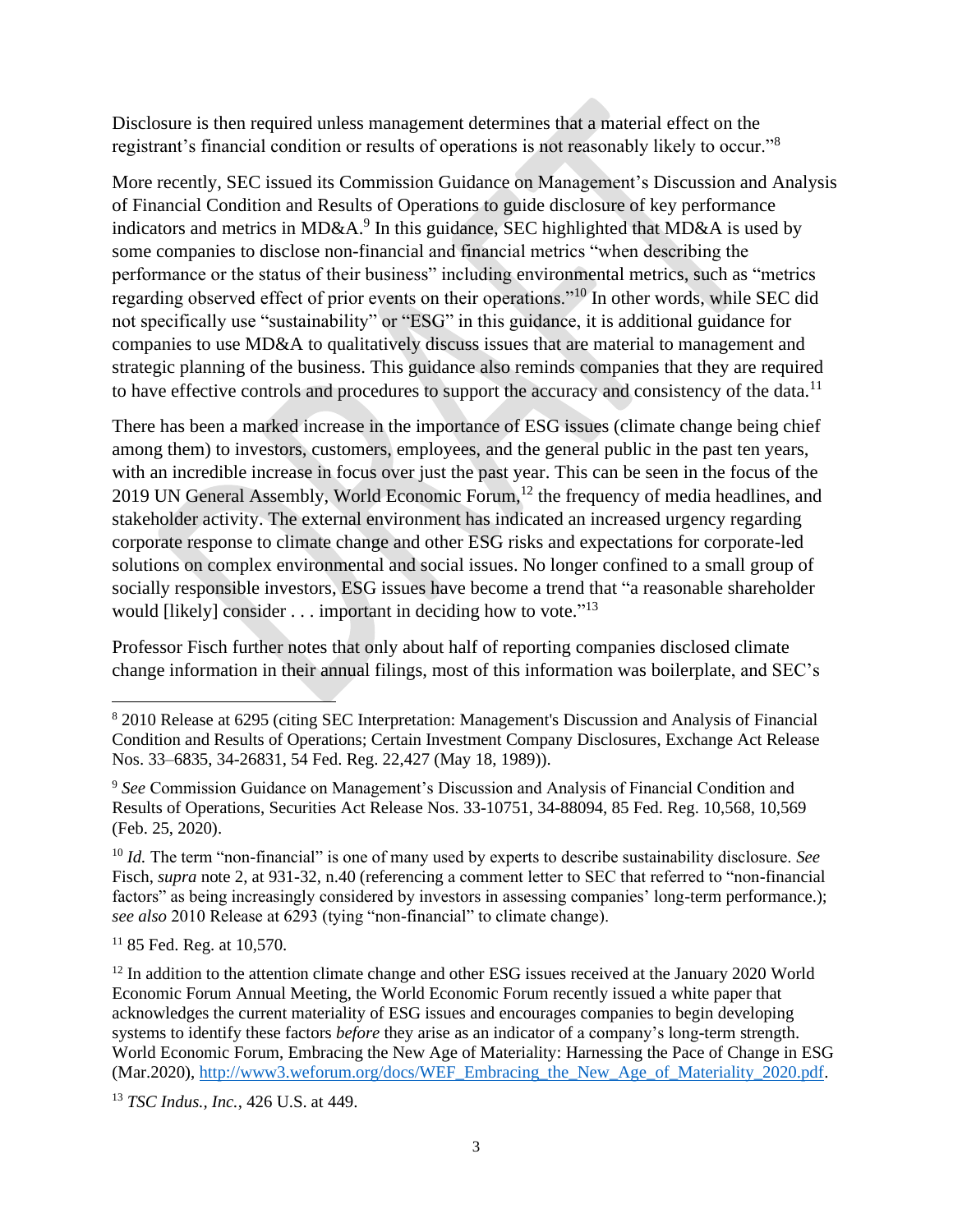Disclosure is then required unless management determines that a material effect on the registrant's financial condition or results of operations is not reasonably likely to occur."<sup>8</sup>

More recently, SEC issued its Commission Guidance on Management's Discussion and Analysis of Financial Condition and Results of Operations to guide disclosure of key performance indicators and metrics in MD&A.<sup>9</sup> In this guidance, SEC highlighted that MD&A is used by some companies to disclose non-financial and financial metrics "when describing the performance or the status of their business" including environmental metrics, such as "metrics regarding observed effect of prior events on their operations."<sup>10</sup> In other words, while SEC did not specifically use "sustainability" or "ESG" in this guidance, it is additional guidance for companies to use MD&A to qualitatively discuss issues that are material to management and strategic planning of the business. This guidance also reminds companies that they are required to have effective controls and procedures to support the accuracy and consistency of the data.<sup>11</sup>

There has been a marked increase in the importance of ESG issues (climate change being chief among them) to investors, customers, employees, and the general public in the past ten years, with an incredible increase in focus over just the past year. This can be seen in the focus of the 2019 UN General Assembly, World Economic Forum,<sup>12</sup> the frequency of media headlines, and stakeholder activity. The external environment has indicated an increased urgency regarding corporate response to climate change and other ESG risks and expectations for corporate-led solutions on complex environmental and social issues. No longer confined to a small group of socially responsible investors, ESG issues have become a trend that "a reasonable shareholder would [likely] consider  $\dots$  important in deciding how to vote."<sup>13</sup>

Professor Fisch further notes that only about half of reporting companies disclosed climate change information in their annual filings, most of this information was boilerplate, and SEC's

 $1185$  Fed. Reg. at 10.570.

<sup>8</sup> 2010 Release at 6295 (citing SEC Interpretation: Management's Discussion and Analysis of Financial Condition and Results of Operations; Certain Investment Company Disclosures, Exchange Act Release Nos. 33–6835, 34-26831, 54 Fed. Reg. 22,427 (May 18, 1989)).

<sup>9</sup> *See* Commission Guidance on Management's Discussion and Analysis of Financial Condition and Results of Operations, Securities Act Release Nos. 33-10751, 34-88094, 85 Fed. Reg. 10,568, 10,569 (Feb. 25, 2020).

<sup>10</sup> *Id.* The term "non-financial" is one of many used by experts to describe sustainability disclosure. *See* Fisch, *supra* note 2, at 931-32, n.40 (referencing a comment letter to SEC that referred to "non-financial factors" as being increasingly considered by investors in assessing companies' long-term performance.); *see also* 2010 Release at 6293 (tying "non-financial" to climate change).

<sup>&</sup>lt;sup>12</sup> In addition to the attention climate change and other ESG issues received at the January 2020 World Economic Forum Annual Meeting, the World Economic Forum recently issued a white paper that acknowledges the current materiality of ESG issues and encourages companies to begin developing systems to identify these factors *before* they arise as an indicator of a company's long-term strength. World Economic Forum, Embracing the New Age of Materiality: Harnessing the Pace of Change in ESG (Mar.2020), [http://www3.weforum.org/docs/WEF\\_Embracing\\_the\\_New\\_Age\\_of\\_Materiality\\_2020.pdf.](http://www3.weforum.org/docs/WEF_Embracing_the_New_Age_of_Materiality_2020.pdf)

<sup>13</sup> *TSC Indus., Inc.*, 426 U.S. at 449.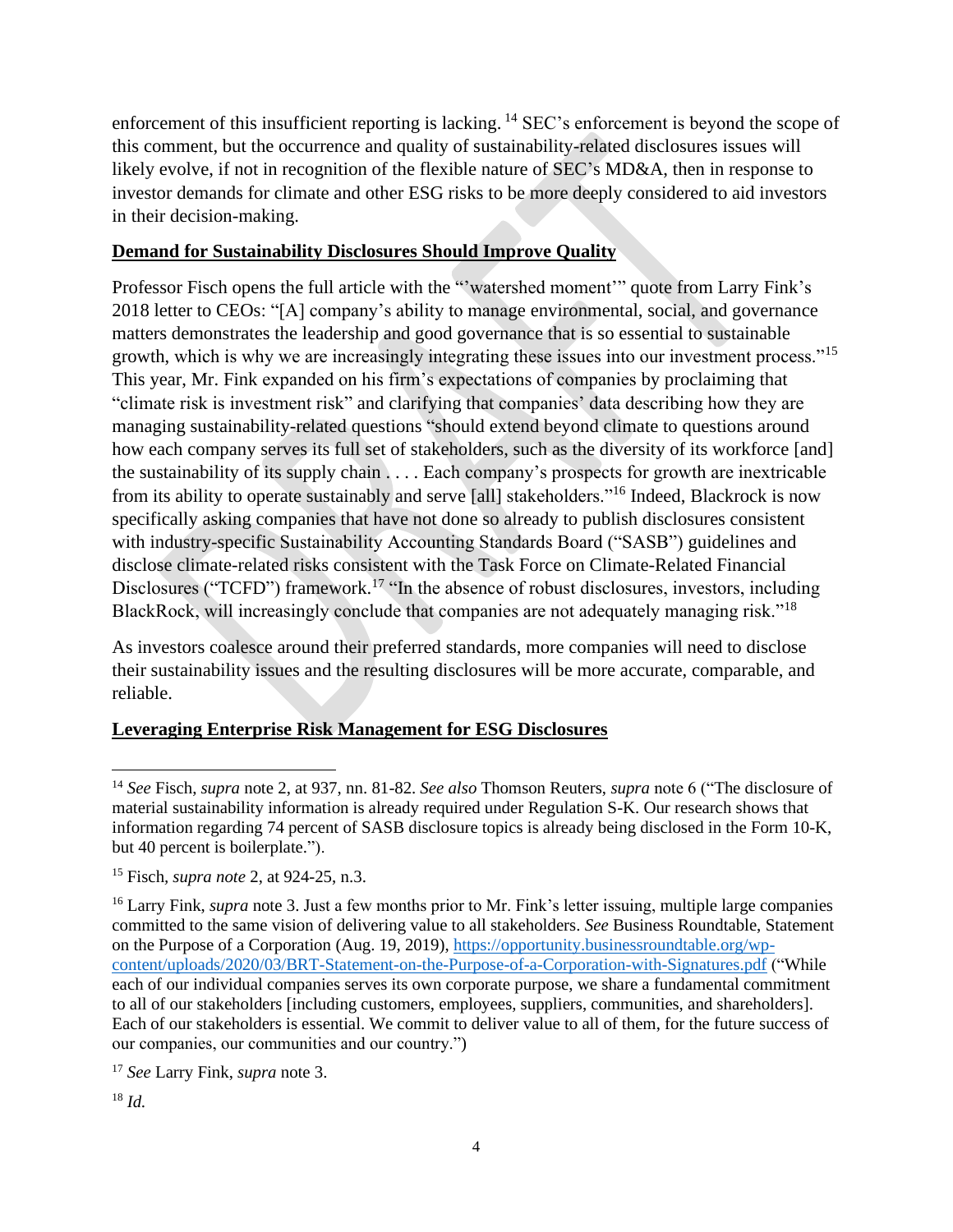enforcement of this insufficient reporting is lacking. <sup>14</sup> SEC's enforcement is beyond the scope of this comment, but the occurrence and quality of sustainability-related disclosures issues will likely evolve, if not in recognition of the flexible nature of SEC's MD&A, then in response to investor demands for climate and other ESG risks to be more deeply considered to aid investors in their decision-making.

## **Demand for Sustainability Disclosures Should Improve Quality**

Professor Fisch opens the full article with the "'watershed moment'" quote from Larry Fink's 2018 letter to CEOs: "[A] company's ability to manage environmental, social, and governance matters demonstrates the leadership and good governance that is so essential to sustainable growth, which is why we are increasingly integrating these issues into our investment process."<sup>15</sup> This year, Mr. Fink expanded on his firm's expectations of companies by proclaiming that "climate risk is investment risk" and clarifying that companies' data describing how they are managing sustainability-related questions "should extend beyond climate to questions around how each company serves its full set of stakeholders, such as the diversity of its workforce [and] the sustainability of its supply chain . . . . Each company's prospects for growth are inextricable from its ability to operate sustainably and serve [all] stakeholders."<sup>16</sup> Indeed, Blackrock is now specifically asking companies that have not done so already to publish disclosures consistent with industry-specific Sustainability Accounting Standards Board ("SASB") guidelines and disclose climate-related risks consistent with the Task Force on Climate-Related Financial Disclosures ("TCFD") framework.<sup>17</sup> "In the absence of robust disclosures, investors, including BlackRock, will increasingly conclude that companies are not adequately managing risk."<sup>18</sup>

As investors coalesce around their preferred standards, more companies will need to disclose their sustainability issues and the resulting disclosures will be more accurate, comparable, and reliable.

# **Leveraging Enterprise Risk Management for ESG Disclosures**

<sup>17</sup> *See* Larry Fink, *supra* note 3.

<sup>18</sup> *Id.*

<sup>14</sup> *See* Fisch, *supra* note 2, at 937, nn. 81-82. *See also* Thomson Reuters, *supra* note 6 ("The disclosure of material sustainability information is already required under Regulation S-K. Our research shows that information regarding 74 percent of SASB disclosure topics is already being disclosed in the Form 10-K, but 40 percent is boilerplate.").

<sup>15</sup> Fisch*, supra note* 2, at 924-25, n.3.

<sup>&</sup>lt;sup>16</sup> Larry Fink, *supra* note 3. Just a few months prior to Mr. Fink's letter issuing, multiple large companies committed to the same vision of delivering value to all stakeholders. *See* Business Roundtable, Statement on the Purpose of a Corporation (Aug. 19, 2019), [https://opportunity.businessroundtable.org/wp](https://opportunity.businessroundtable.org/wp-content/uploads/2020/03/BRT-Statement-on-the-Purpose-of-a-Corporation-with-Signatures.pdf)[content/uploads/2020/03/BRT-Statement-on-the-Purpose-of-a-Corporation-with-Signatures.pdf](https://opportunity.businessroundtable.org/wp-content/uploads/2020/03/BRT-Statement-on-the-Purpose-of-a-Corporation-with-Signatures.pdf) ("While each of our individual companies serves its own corporate purpose, we share a fundamental commitment to all of our stakeholders [including customers, employees, suppliers, communities, and shareholders]. Each of our stakeholders is essential. We commit to deliver value to all of them, for the future success of our companies, our communities and our country.")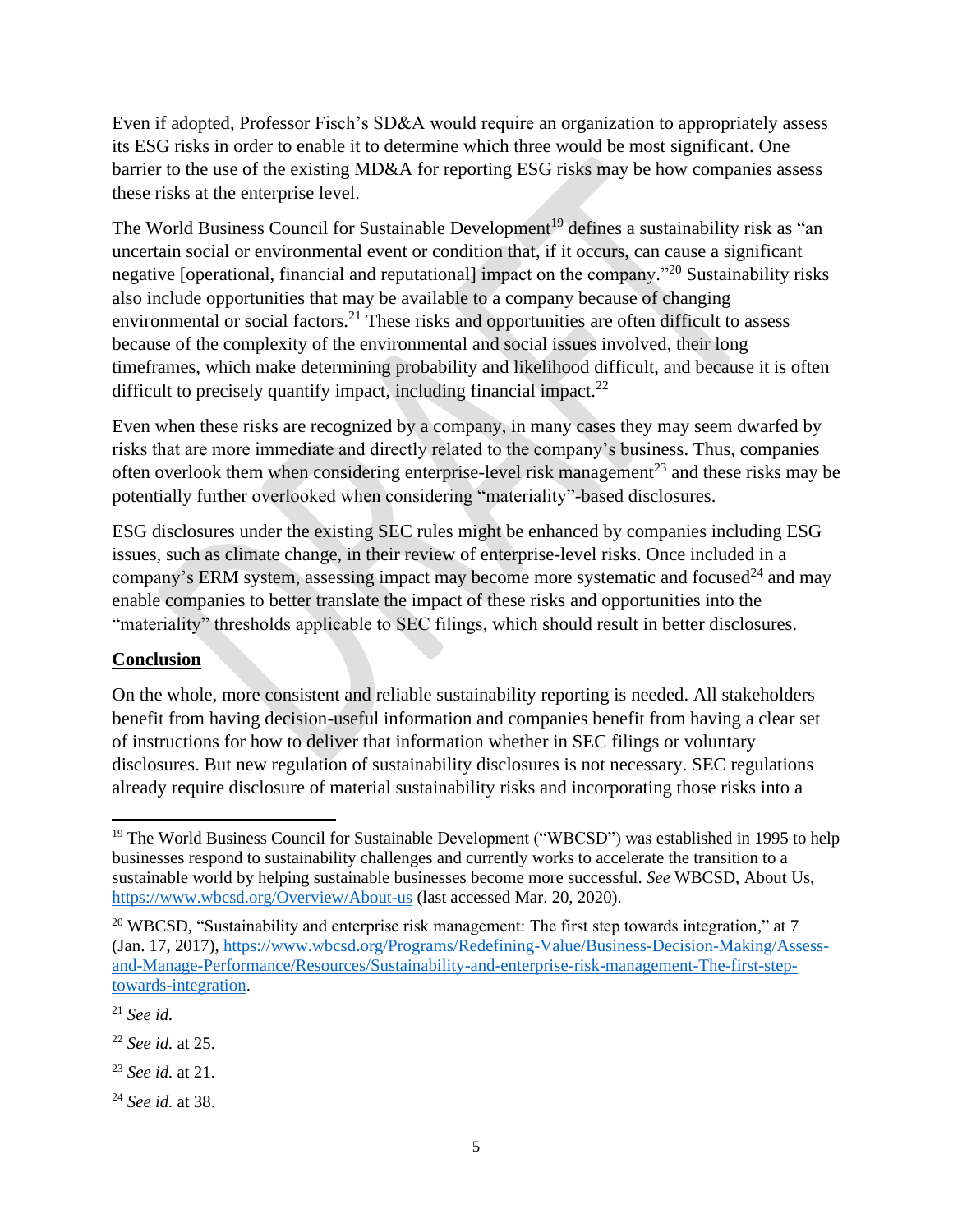Even if adopted, Professor Fisch's SD&A would require an organization to appropriately assess its ESG risks in order to enable it to determine which three would be most significant. One barrier to the use of the existing MD&A for reporting ESG risks may be how companies assess these risks at the enterprise level.

The World Business Council for Sustainable Development<sup>19</sup> defines a sustainability risk as "an uncertain social or environmental event or condition that, if it occurs, can cause a significant negative [operational, financial and reputational] impact on the company.<sup>320</sup> Sustainability risks also include opportunities that may be available to a company because of changing environmental or social factors.<sup>21</sup> These risks and opportunities are often difficult to assess because of the complexity of the environmental and social issues involved, their long timeframes, which make determining probability and likelihood difficult, and because it is often difficult to precisely quantify impact, including financial impact.<sup>22</sup>

Even when these risks are recognized by a company, in many cases they may seem dwarfed by risks that are more immediate and directly related to the company's business. Thus, companies often overlook them when considering enterprise-level risk management<sup>23</sup> and these risks may be potentially further overlooked when considering "materiality"-based disclosures.

ESG disclosures under the existing SEC rules might be enhanced by companies including ESG issues, such as climate change, in their review of enterprise-level risks. Once included in a company's ERM system, assessing impact may become more systematic and focused<sup>24</sup> and may enable companies to better translate the impact of these risks and opportunities into the "materiality" thresholds applicable to SEC filings, which should result in better disclosures.

# **Conclusion**

On the whole, more consistent and reliable sustainability reporting is needed. All stakeholders benefit from having decision-useful information and companies benefit from having a clear set of instructions for how to deliver that information whether in SEC filings or voluntary disclosures. But new regulation of sustainability disclosures is not necessary. SEC regulations already require disclosure of material sustainability risks and incorporating those risks into a

<sup>&</sup>lt;sup>19</sup> The World Business Council for Sustainable Development ("WBCSD") was established in 1995 to help businesses respond to sustainability challenges and currently works to accelerate the transition to a sustainable world by helping sustainable businesses become more successful. *See* WBCSD, About Us, <https://www.wbcsd.org/Overview/About-us> (last accessed Mar. 20, 2020).

<sup>&</sup>lt;sup>20</sup> WBCSD, "Sustainability and enterprise risk management: The first step towards integration," at 7 (Jan. 17, 2017), [https://www.wbcsd.org/Programs/Redefining-Value/Business-Decision-Making/Assess](https://www.wbcsd.org/Programs/Redefining-Value/Business-Decision-Making/Assess-and-Manage-Performance/Resources/Sustainability-and-enterprise-risk-management-The-first-step-towards-integration)[and-Manage-Performance/Resources/Sustainability-and-enterprise-risk-management-The-first-step](https://www.wbcsd.org/Programs/Redefining-Value/Business-Decision-Making/Assess-and-Manage-Performance/Resources/Sustainability-and-enterprise-risk-management-The-first-step-towards-integration)[towards-integration.](https://www.wbcsd.org/Programs/Redefining-Value/Business-Decision-Making/Assess-and-Manage-Performance/Resources/Sustainability-and-enterprise-risk-management-The-first-step-towards-integration)

<sup>21</sup> *See id.*

<sup>22</sup> *See id.* at 25.

<sup>23</sup> *See id.* at 21.

<sup>24</sup> *See id.* at 38.